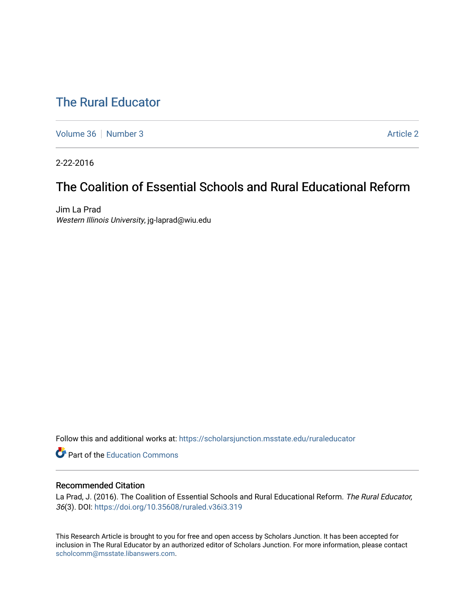# [The Rural Educator](https://scholarsjunction.msstate.edu/ruraleducator)

[Volume 36](https://scholarsjunction.msstate.edu/ruraleducator/vol36) [Number 3](https://scholarsjunction.msstate.edu/ruraleducator/vol36/iss3) Article 2

2-22-2016

# The Coalition of Essential Schools and Rural Educational Reform

Jim La Prad Western Illinois University, jg-laprad@wiu.edu

Follow this and additional works at: [https://scholarsjunction.msstate.edu/ruraleducator](https://scholarsjunction.msstate.edu/ruraleducator?utm_source=scholarsjunction.msstate.edu%2Fruraleducator%2Fvol36%2Fiss3%2F2&utm_medium=PDF&utm_campaign=PDFCoverPages)

**C** Part of the [Education Commons](http://network.bepress.com/hgg/discipline/784?utm_source=scholarsjunction.msstate.edu%2Fruraleducator%2Fvol36%2Fiss3%2F2&utm_medium=PDF&utm_campaign=PDFCoverPages)

# Recommended Citation

La Prad, J. (2016). The Coalition of Essential Schools and Rural Educational Reform. The Rural Educator, 36(3). DOI: <https://doi.org/10.35608/ruraled.v36i3.319>

This Research Article is brought to you for free and open access by Scholars Junction. It has been accepted for inclusion in The Rural Educator by an authorized editor of Scholars Junction. For more information, please contact [scholcomm@msstate.libanswers.com.](mailto:scholcomm@msstate.libanswers.com)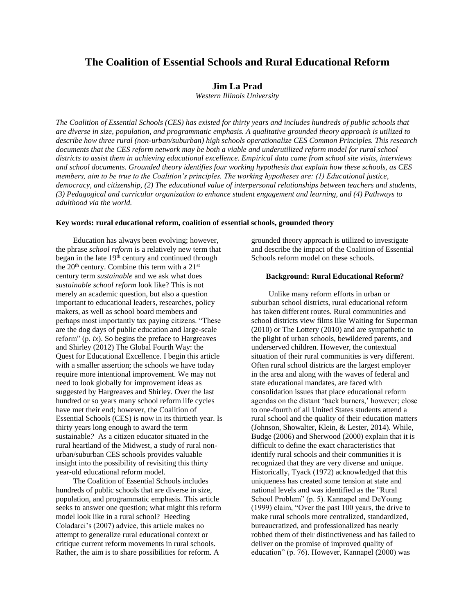# **The Coalition of Essential Schools and Rural Educational Reform**

# **Jim La Prad**

*Western Illinois University*

*The Coalition of Essential Schools (CES) has existed for thirty years and includes hundreds of public schools that are diverse in size, population, and programmatic emphasis. A qualitative grounded theory approach is utilized to describe how three rural (non-urban/suburban) high schools operationalize CES Common Principles. This research documents that the CES reform network may be both a viable and underutilized reform model for rural school districts to assist them in achieving educational excellence. Empirical data came from school site visits, interviews and school documents. Grounded theory identifies four working hypothesis that explain how these schools, as CES members, aim to be true to the Coalition's principles. The working hypotheses are: (1) Educational justice, democracy, and citizenship, (2) The educational value of interpersonal relationships between teachers and students, (3) Pedagogical and curricular organization to enhance student engagement and learning, and (4) Pathways to adulthood via the world.* 

#### **Key words: rural educational reform, coalition of essential schools, grounded theory**

Education has always been evolving; however, the phrase *school reform* is a relatively new term that began in the late  $19<sup>th</sup>$  century and continued through the 20<sup>th</sup> century. Combine this term with a 21<sup>st</sup> century term *sustainable* and we ask what does *sustainable school reform* look like? This is not merely an academic question, but also a question important to educational leaders, researches, policy makers, as well as school board members and perhaps most importantly tax paying citizens. "These are the dog days of public education and large-scale reform" (p. *ix*). So begins the preface to Hargreaves and Shirley (2012) The Global Fourth Way: the Quest for Educational Excellence. I begin this article with a smaller assertion; the schools we have today require more intentional improvement. We may not need to look globally for improvement ideas as suggested by Hargreaves and Shirley. Over the last hundred or so years many school reform life cycles have met their end; however, the Coalition of Essential Schools (CES) is now in its thirtieth year. Is thirty years long enough to award the term sustainable*?* As a citizen educator situated in the rural heartland of the Midwest, a study of rural nonurban/suburban CES schools provides valuable insight into the possibility of revisiting this thirty year-old educational reform model.

The Coalition of Essential Schools includes hundreds of public schools that are diverse in size, population, and programmatic emphasis. This article seeks to answer one question; what might this reform model look like in a rural school? Heeding Coladarci's (2007) advice, this article makes no attempt to generalize rural educational context or critique current reform movements in rural schools. Rather, the aim is to share possibilities for reform. A

grounded theory approach is utilized to investigate and describe the impact of the Coalition of Essential Schools reform model on these schools.

#### **Background: Rural Educational Reform?**

Unlike many reform efforts in urban or suburban school districts, rural educational reform has taken different routes. Rural communities and school districts view films like Waiting for Superman (2010) or The Lottery (2010) and are sympathetic to the plight of urban schools, bewildered parents, and underserved children. However, the contextual situation of their rural communities is very different. Often rural school districts are the largest employer in the area and along with the waves of federal and state educational mandates, are faced with consolidation issues that place educational reform agendas on the distant 'back burners,' however; close to one-fourth of all United States students attend a rural school and the quality of their education matters (Johnson, Showalter, Klein, & Lester, 2014). While, Budge (2006) and Sherwood (2000) explain that it is difficult to define the exact characteristics that identify rural schools and their communities it is recognized that they are very diverse and unique. Historically, Tyack (1972) acknowledged that this uniqueness has created some tension at state and national levels and was identified as the "Rural School Problem" (p. 5). Kannapel and DeYoung (1999) claim, "Over the past 100 years, the drive to make rural schools more centralized, standardized, bureaucratized, and professionalized has nearly robbed them of their distinctiveness and has failed to deliver on the promise of improved quality of education" (p. 76). However, Kannapel (2000) was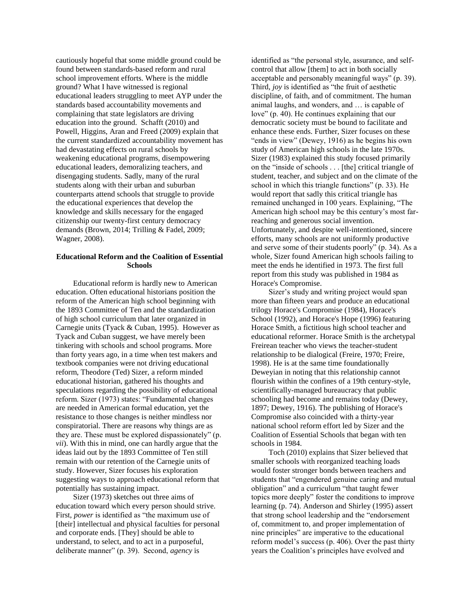cautiously hopeful that some middle ground could be found between standards-based reform and rural school improvement efforts. Where is the middle ground? What I have witnessed is regional educational leaders struggling to meet AYP under the standards based accountability movements and complaining that state legislators are driving education into the ground. Schafft (2010) and Powell, Higgins, Aran and Freed (2009) explain that the current standardized accountability movement has had devastating effects on rural schools by weakening educational programs, disempowering educational leaders, demoralizing teachers, and disengaging students. Sadly, many of the rural students along with their urban and suburban counterparts attend schools that struggle to provide the educational experiences that develop the knowledge and skills necessary for the engaged citizenship our twenty-first century democracy demands (Brown, 2014; Trilling & Fadel, 2009; Wagner, 2008).

# **Educational Reform and the Coalition of Essential Schools**

Educational reform is hardly new to American education. Often educational historians position the reform of the American high school beginning with the 1893 Committee of Ten and the standardization of high school curriculum that later organized in Carnegie units (Tyack & Cuban, 1995). However as Tyack and Cuban suggest, we have merely been tinkering with schools and school programs. More than forty years ago, in a time when test makers and textbook companies were not driving educational reform, Theodore (Ted) Sizer, a reform minded educational historian, gathered his thoughts and speculations regarding the possibility of educational reform. Sizer (1973) states: "Fundamental changes are needed in American formal education, yet the resistance to those changes is neither mindless nor conspiratorial. There are reasons why things are as they are. These must be explored dispassionately" (p. *vii*). With this in mind, one can hardly argue that the ideas laid out by the 1893 Committee of Ten still remain with our retention of the Carnegie units of study. However, Sizer focuses his exploration suggesting ways to approach educational reform that potentially has sustaining impact.

Sizer (1973) sketches out three aims of education toward which every person should strive. First, *power* is identified as "the maximum use of [their] intellectual and physical faculties for personal and corporate ends. [They] should be able to understand, to select, and to act in a purposeful, deliberate manner" (p. 39). Second, *agency* is

identified as "the personal style, assurance, and selfcontrol that allow [them] to act in both socially acceptable and personably meaningful ways" (p. 39). Third, *joy* is identified as "the fruit of aesthetic discipline, of faith, and of commitment. The human animal laughs, and wonders, and … is capable of love" (p. 40). He continues explaining that our democratic society must be bound to facilitate and enhance these ends. Further, Sizer focuses on these "ends in view" (Dewey, 1916) as he begins his own study of American high schools in the late 1970s. Sizer (1983) explained this study focused primarily on the "inside of schools . . . [the] critical triangle of student, teacher, and subject and on the climate of the school in which this triangle functions" (p. 33). He would report that sadly this critical triangle has remained unchanged in 100 years. Explaining, "The American high school may be this century's most farreaching and generous social invention. Unfortunately, and despite well-intentioned, sincere efforts, many schools are not uniformly productive and serve some of their students poorly" (p. 34). As a whole, Sizer found American high schools failing to meet the ends he identified in 1973. The first full report from this study was published in 1984 as Horace's Compromise.

Sizer's study and writing project would span more than fifteen years and produce an educational trilogy Horace's Compromise (1984), Horace's School (1992), and Horace's Hope (1996) featuring Horace Smith, a fictitious high school teacher and educational reformer. Horace Smith is the archetypal Freirean teacher who views the teacher-student relationship to be dialogical (Freire, 1970; Freire, 1998). He is at the same time foundationally Deweyian in noting that this relationship cannot flourish within the confines of a 19th century-style, scientifically-managed bureaucracy that public schooling had become and remains today (Dewey, 1897; Dewey, 1916). The publishing of Horace's Compromise also coincided with a thirty-year national school reform effort led by Sizer and the Coalition of Essential Schools that began with ten schools in 1984.

Toch (2010) explains that Sizer believed that smaller schools with reorganized teaching loads would foster stronger bonds between teachers and students that "engendered genuine caring and mutual obligation" and a curriculum "that taught fewer topics more deeply" foster the conditions to improve learning (p. 74). Anderson and Shirley (1995) assert that strong school leadership and the "endorsement of, commitment to, and proper implementation of nine principles" are imperative to the educational reform model's success (p. 406). Over the past thirty years the Coalition's principles have evolved and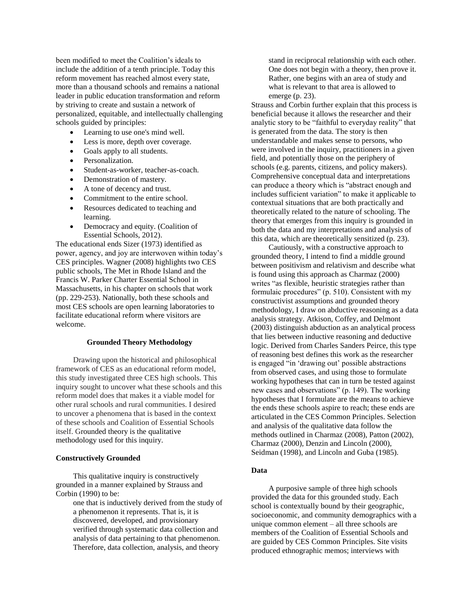been modified to meet the Coalition's ideals to include the addition of a tenth principle. Today this reform movement has reached almost every state, more than a thousand schools and remains a national leader in public education transformation and reform by striving to create and sustain a network of personalized, equitable, and intellectually challenging schools guided by principles:

- Learning to use one's mind well.
- Less is more, depth over coverage.
- Goals apply to all students.
- Personalization.
- Student-as-worker, teacher-as-coach.
- Demonstration of mastery.
- A tone of decency and trust.
- Commitment to the entire school.
- Resources dedicated to teaching and learning.
- Democracy and equity. (Coalition of Essential Schools, 2012).

The educational ends Sizer (1973) identified as power, agency, and joy are interwoven within today's CES principles. Wagner (2008) highlights two CES public schools, The Met in Rhode Island and the Francis W. Parker Charter Essential School in Massachusetts, in his chapter on schools that work (pp. 229-253). Nationally, both these schools and most CES schools are open learning laboratories to facilitate educational reform where visitors are welcome.

#### **Grounded Theory Methodology**

Drawing upon the historical and philosophical framework of CES as an educational reform model, this study investigated three CES high schools. This inquiry sought to uncover what these schools and this reform model does that makes it a viable model for other rural schools and rural communities. I desired to uncover a phenomena that is based in the context of these schools and Coalition of Essential Schools itself. Grounded theory is the qualitative methodology used for this inquiry.

#### **Constructively Grounded**

This qualitative inquiry is constructively grounded in a manner explained by Strauss and Corbin (1990) to be:

> one that is inductively derived from the study of a phenomenon it represents. That is, it is discovered, developed, and provisionary verified through systematic data collection and analysis of data pertaining to that phenomenon. Therefore, data collection, analysis, and theory

stand in reciprocal relationship with each other. One does not begin with a theory, then prove it. Rather, one begins with an area of study and what is relevant to that area is allowed to emerge (p. 23).

Strauss and Corbin further explain that this process is beneficial because it allows the researcher and their analytic story to be "faithful to everyday reality" that is generated from the data. The story is then understandable and makes sense to persons, who were involved in the inquiry, practitioners in a given field, and potentially those on the periphery of schools (e.g. parents, citizens, and policy makers). Comprehensive conceptual data and interpretations can produce a theory which is "abstract enough and includes sufficient variation" to make it applicable to contextual situations that are both practically and theoretically related to the nature of schooling. The theory that emerges from this inquiry is grounded in both the data and my interpretations and analysis of this data, which are theoretically sensitized (p. 23).

Cautiously, with a constructive approach to grounded theory, I intend to find a middle ground between positivism and relativism and describe what is found using this approach as Charmaz (2000) writes "as flexible, heuristic strategies rather than formulaic procedures" (p. 510). Consistent with my constructivist assumptions and grounded theory methodology, I draw on abductive reasoning as a data analysis strategy. Atkison, Coffey, and Delmont (2003) distinguish abduction as an analytical process that lies between inductive reasoning and deductive logic. Derived from Charles Sanders Peirce, this type of reasoning best defines this work as the researcher is engaged "in 'drawing out' possible abstractions from observed cases, and using those to formulate working hypotheses that can in turn be tested against new cases and observations" (p. 149). The working hypotheses that I formulate are the means to achieve the ends these schools aspire to reach; these ends are articulated in the CES Common Principles. Selection and analysis of the qualitative data follow the methods outlined in Charmaz (2008), Patton (2002), Charmaz (2000), Denzin and Lincoln (2000), Seidman (1998), and Lincoln and Guba (1985).

#### **Data**

A purposive sample of three high schools provided the data for this grounded study. Each school is contextually bound by their geographic, socioeconomic, and community demographics with a unique common element – all three schools are members of the Coalition of Essential Schools and are guided by CES Common Principles. Site visits produced ethnographic memos; interviews with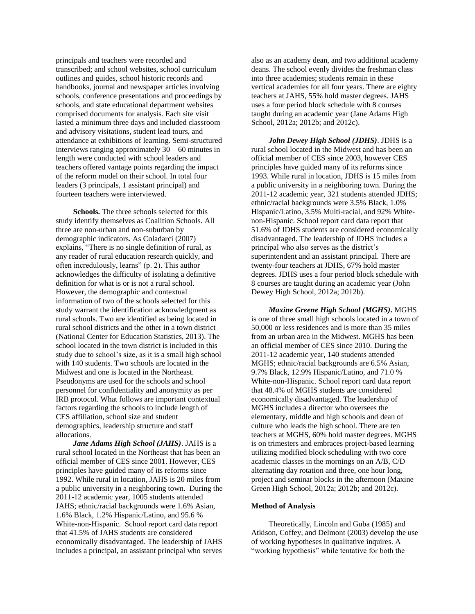principals and teachers were recorded and transcribed; and school websites, school curriculum outlines and guides, school historic records and handbooks, journal and newspaper articles involving schools, conference presentations and proceedings by schools, and state educational department websites comprised documents for analysis. Each site visit lasted a minimum three days and included classroom and advisory visitations, student lead tours, and attendance at exhibitions of learning. Semi-structured interviews ranging approximately 30 – 60 minutes in length were conducted with school leaders and teachers offered vantage points regarding the impact of the reform model on their school. In total four leaders (3 principals, 1 assistant principal) and fourteen teachers were interviewed.

**Schools.** The three schools selected for this study identify themselves as Coalition Schools. All three are non-urban and non-suburban by demographic indicators. As Coladarci (2007) explains, "There is no single definition of rural, as any reader of rural education research quickly, and often incredulously, learns" (p. 2). This author acknowledges the difficulty of isolating a definitive definition for what is or is not a rural school. However, the demographic and contextual information of two of the schools selected for this study warrant the identification acknowledgment as rural schools. Two are identified as being located in rural school districts and the other in a town district (National Center for Education Statistics, 2013). The school located in the town district is included in this study due to school's size, as it is a small high school with 140 students. Two schools are located in the Midwest and one is located in the Northeast. Pseudonyms are used for the schools and school personnel for confidentiality and anonymity as per IRB protocol. What follows are important contextual factors regarding the schools to include length of CES affiliation, school size and student demographics, leadership structure and staff allocations.

*Jane Adams High School (JAHS)*. JAHS is a rural school located in the Northeast that has been an official member of CES since 2001. However, CES principles have guided many of its reforms since 1992. While rural in location, JAHS is 20 miles from a public university in a neighboring town. During the 2011-12 academic year, 1005 students attended JAHS; ethnic/racial backgrounds were 1.6% Asian, 1.6% Black, 1.2% Hispanic/Latino, and 95.6 % White-non-Hispanic. School report card data report that 41.5% of JAHS students are considered economically disadvantaged. The leadership of JAHS includes a principal, an assistant principal who serves

also as an academy dean, and two additional academy deans. The school evenly divides the freshman class into three academies; students remain in these vertical academies for all four years. There are eighty teachers at JAHS, 55% hold master degrees. JAHS uses a four period block schedule with 8 courses taught during an academic year (Jane Adams High School, 2012a; 2012b; and 2012c).

*John Dewey High School (JDHS)*. JDHS is a rural school located in the Midwest and has been an official member of CES since 2003, however CES principles have guided many of its reforms since 1993. While rural in location, JDHS is 15 miles from a public university in a neighboring town. During the 2011-12 academic year, 321 students attended JDHS; ethnic/racial backgrounds were 3.5% Black, 1.0% Hispanic/Latino, 3.5% Multi-racial, and 92% Whitenon-Hispanic. School report card data report that 51.6% of JDHS students are considered economically disadvantaged. The leadership of JDHS includes a principal who also serves as the district's superintendent and an assistant principal. There are twenty-four teachers at JDHS, 67% hold master degrees. JDHS uses a four period block schedule with 8 courses are taught during an academic year (John Dewey High School, 2012a; 2012b).

*Maxine Greene High School (MGHS)***.** MGHS is one of three small high schools located in a town of 50,000 or less residences and is more than 35 miles from an urban area in the Midwest. MGHS has been an official member of CES since 2010. During the 2011-12 academic year, 140 students attended MGHS; ethnic/racial backgrounds are 6.5% Asian, 9.7% Black, 12.9% Hispanic/Latino, and 71.0 % White-non-Hispanic. School report card data report that 48.4% of MGHS students are considered economically disadvantaged. The leadership of MGHS includes a director who oversees the elementary, middle and high schools and dean of culture who leads the high school. There are ten teachers at MGHS, 60% hold master degrees. MGHS is on trimesters and embraces project-based learning utilizing modified block scheduling with two core academic classes in the mornings on an A/B, C/D alternating day rotation and three, one hour long, project and seminar blocks in the afternoon (Maxine Green High School, 2012a; 2012b; and 2012c).

#### **Method of Analysis**

Theoretically, Lincoln and Guba (1985) and Atkison, Coffey, and Delmont (2003) develop the use of working hypotheses in qualitative inquires. A "working hypothesis" while tentative for both the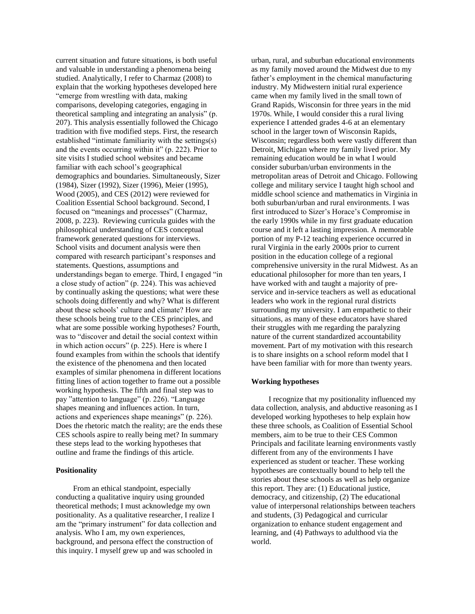current situation and future situations, is both useful and valuable in understanding a phenomena being studied. Analytically, I refer to Charmaz (2008) to explain that the working hypotheses developed here "emerge from wrestling with data, making comparisons, developing categories, engaging in theoretical sampling and integrating an analysis" (p. 207). This analysis essentially followed the Chicago tradition with five modified steps. First, the research established "intimate familiarity with the settings(s) and the events occurring within it" (p. 222). Prior to site visits I studied school websites and became familiar with each school's geographical demographics and boundaries. Simultaneously, Sizer (1984), Sizer (1992), Sizer (1996), Meier (1995), Wood (2005), and CES (2012) were reviewed for Coalition Essential School background. Second, I focused on "meanings and processes" (Charmaz, 2008, p. 223). Reviewing curricula guides with the philosophical understanding of CES conceptual framework generated questions for interviews. School visits and document analysis were then compared with research participant's responses and statements. Questions, assumptions and understandings began to emerge. Third, I engaged "in a close study of action" (p. 224). This was achieved by continually asking the questions; what were these schools doing differently and why? What is different about these schools' culture and climate? How are these schools being true to the CES principles, and what are some possible working hypotheses? Fourth, was to "discover and detail the social context within in which action occurs" (p. 225). Here is where I found examples from within the schools that identify the existence of the phenomena and then located examples of similar phenomena in different locations fitting lines of action together to frame out a possible working hypothesis. The fifth and final step was to pay "attention to language" (p. 226). "Language shapes meaning and influences action. In turn, actions and experiences shape meanings" (p. 226). Does the rhetoric match the reality; are the ends these CES schools aspire to really being met? In summary these steps lead to the working hypotheses that outline and frame the findings of this article.

#### **Positionality**

From an ethical standpoint, especially conducting a qualitative inquiry using grounded theoretical methods; I must acknowledge my own positionality. As a qualitative researcher, I realize I am the "primary instrument" for data collection and analysis. Who I am, my own experiences, background, and persona effect the construction of this inquiry. I myself grew up and was schooled in

urban, rural, and suburban educational environments as my family moved around the Midwest due to my father's employment in the chemical manufacturing industry. My Midwestern initial rural experience came when my family lived in the small town of Grand Rapids, Wisconsin for three years in the mid 1970s. While, I would consider this a rural living experience I attended grades 4-6 at an elementary school in the larger town of Wisconsin Rapids, Wisconsin; regardless both were vastly different than Detroit, Michigan where my family lived prior. My remaining education would be in what I would consider suburban/urban environments in the metropolitan areas of Detroit and Chicago. Following college and military service I taught high school and middle school science and mathematics in Virginia in both suburban/urban and rural environments. I was first introduced to Sizer's Horace's Compromise in the early 1990s while in my first graduate education course and it left a lasting impression. A memorable portion of my P-12 teaching experience occurred in rural Virginia in the early 2000s prior to current position in the education college of a regional comprehensive university in the rural Midwest. As an educational philosopher for more than ten years, I have worked with and taught a majority of preservice and in-service teachers as well as educational leaders who work in the regional rural districts surrounding my university. I am empathetic to their situations, as many of these educators have shared their struggles with me regarding the paralyzing nature of the current standardized accountability movement. Part of my motivation with this research is to share insights on a school reform model that I have been familiar with for more than twenty years.

#### **Working hypotheses**

I recognize that my positionality influenced my data collection, analysis, and abductive reasoning as I developed working hypotheses to help explain how these three schools, as Coalition of Essential School members, aim to be true to their CES Common Principals and facilitate learning environments vastly different from any of the environments I have experienced as student or teacher. These working hypotheses are contextually bound to help tell the stories about these schools as well as help organize this report. They are: (1) Educational justice, democracy, and citizenship, (2) The educational value of interpersonal relationships between teachers and students, (3) Pedagogical and curricular organization to enhance student engagement and learning, and (4) Pathways to adulthood via the world.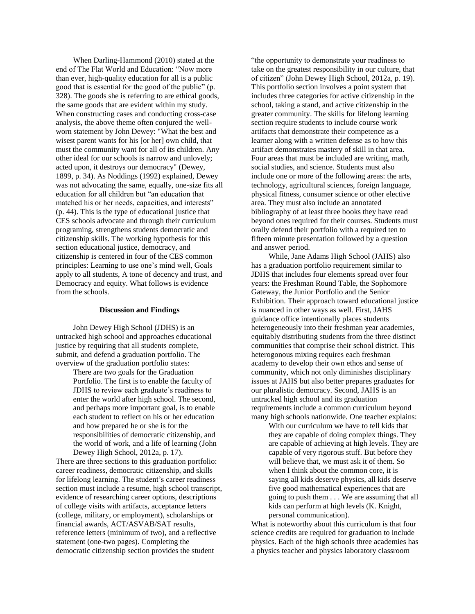When Darling-Hammond (2010) stated at the end of The Flat World and Education: "Now more than ever, high-quality education for all is a public good that is essential for the good of the public" (p. 328). The goods she is referring to are ethical goods, the same goods that are evident within my study. When constructing cases and conducting cross-case analysis, the above theme often conjured the wellworn statement by John Dewey: "What the best and wisest parent wants for his [or her] own child, that must the community want for all of its children. Any other ideal for our schools is narrow and unlovely; acted upon, it destroys our democracy" (Dewey, 1899, p. 34). As Noddings (1992) explained, Dewey was not advocating the same, equally, one-size fits all education for all children but "an education that matched his or her needs, capacities, and interests" (p. 44). This is the type of educational justice that CES schools advocate and through their curriculum programing, strengthens students democratic and citizenship skills. The working hypothesis for this section educational justice, democracy, and citizenship is centered in four of the CES common principles: Learning to use one's mind well, Goals apply to all students, A tone of decency and trust, and Democracy and equity. What follows is evidence from the schools.

#### **Discussion and Findings**

John Dewey High School (JDHS) is an untracked high school and approaches educational justice by requiring that all students complete, submit, and defend a graduation portfolio. The overview of the graduation portfolio states:

> There are two goals for the Graduation Portfolio. The first is to enable the faculty of JDHS to review each graduate's readiness to enter the world after high school. The second, and perhaps more important goal, is to enable each student to reflect on his or her education and how prepared he or she is for the responsibilities of democratic citizenship, and the world of work, and a life of learning (John Dewey High School, 2012a, p. 17).

There are three sections to this graduation portfolio: career readiness, democratic citizenship, and skills for lifelong learning. The student's career readiness section must include a resume, high school transcript, evidence of researching career options, descriptions of college visits with artifacts, acceptance letters (college, military, or employment), scholarships or financial awards, ACT/ASVAB/SAT results, reference letters (minimum of two), and a reflective statement (one-two pages). Completing the democratic citizenship section provides the student

"the opportunity to demonstrate your readiness to take on the greatest responsibility in our culture, that of citizen" (John Dewey High School, 2012a, p. 19). This portfolio section involves a point system that includes three categories for active citizenship in the school, taking a stand, and active citizenship in the greater community. The skills for lifelong learning section require students to include course work artifacts that demonstrate their competence as a learner along with a written defense as to how this artifact demonstrates mastery of skill in that area. Four areas that must be included are writing, math, social studies, and science. Students must also include one or more of the following areas: the arts, technology, agricultural sciences, foreign language, physical fitness, consumer science or other elective area. They must also include an annotated bibliography of at least three books they have read beyond ones required for their courses. Students must orally defend their portfolio with a required ten to fifteen minute presentation followed by a question and answer period.

While, Jane Adams High School (JAHS) also has a graduation portfolio requirement similar to JDHS that includes four elements spread over four years: the Freshman Round Table, the Sophomore Gateway, the Junior Portfolio and the Senior Exhibition. Their approach toward educational justice is nuanced in other ways as well. First, JAHS guidance office intentionally places students heterogeneously into their freshman year academies, equitably distributing students from the three distinct communities that comprise their school district. This heterogonous mixing requires each freshman academy to develop their own ethos and sense of community, which not only diminishes disciplinary issues at JAHS but also better prepares graduates for our pluralistic democracy. Second, JAHS is an untracked high school and its graduation requirements include a common curriculum beyond many high schools nationwide. One teacher explains:

With our curriculum we have to tell kids that they are capable of doing complex things. They are capable of achieving at high levels. They are capable of very rigorous stuff. But before they will believe that, we must ask it of them. So when I think about the common core, it is saying all kids deserve physics, all kids deserve five good mathematical experiences that are going to push them . . . We are assuming that all kids can perform at high levels (K. Knight, personal communication).

What is noteworthy about this curriculum is that four science credits are required for graduation to include physics. Each of the high schools three academies has a physics teacher and physics laboratory classroom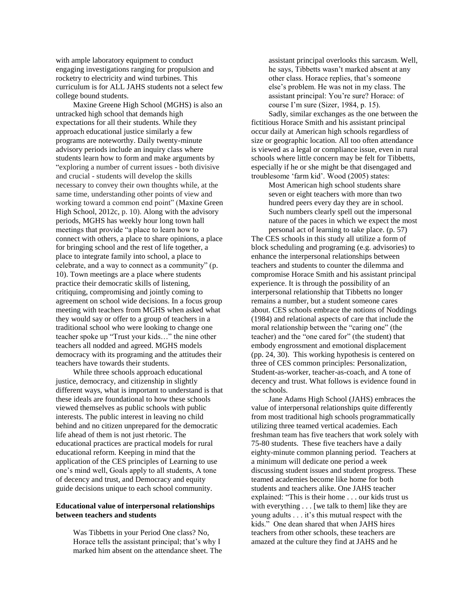with ample laboratory equipment to conduct engaging investigations ranging for propulsion and rocketry to electricity and wind turbines. This curriculum is for ALL JAHS students not a select few college bound students.

Maxine Greene High School (MGHS) is also an untracked high school that demands high expectations for all their students. While they approach educational justice similarly a few programs are noteworthy. Daily twenty-minute advisory periods include an inquiry class where students learn how to form and make arguments by "exploring a number of current issues - both divisive and crucial - students will develop the skills necessary to convey their own thoughts while, at the same time, understanding other points of view and working toward a common end point" (Maxine Green High School, 2012c, p. 10). Along with the advisory periods, MGHS has weekly hour long town hall meetings that provide "a place to learn how to connect with others, a place to share opinions, a place for bringing school and the rest of life together, a place to integrate family into school, a place to celebrate, and a way to connect as a community" (p. 10). Town meetings are a place where students practice their democratic skills of listening, critiquing, compromising and jointly coming to agreement on school wide decisions. In a focus group meeting with teachers from MGHS when asked what they would say or offer to a group of teachers in a traditional school who were looking to change one teacher spoke up "Trust your kids…" the nine other teachers all nodded and agreed. MGHS models democracy with its programing and the attitudes their teachers have towards their students.

While three schools approach educational justice, democracy, and citizenship in slightly different ways, what is important to understand is that these ideals are foundational to how these schools viewed themselves as public schools with public interests. The public interest in leaving no child behind and no citizen unprepared for the democratic life ahead of them is not just rhetoric. The educational practices are practical models for rural educational reform. Keeping in mind that the application of the CES principles of Learning to use one's mind well, Goals apply to all students, A tone of decency and trust, and Democracy and equity guide decisions unique to each school community.

#### **Educational value of interpersonal relationships between teachers and students**

Was Tibbetts in your Period One class? No, Horace tells the assistant principal; that's why I marked him absent on the attendance sheet. The

assistant principal overlooks this sarcasm. Well, he says, Tibbetts wasn't marked absent at any other class. Horace replies, that's someone else's problem. He was not in my class. The assistant principal: You're sure? Horace: of course I'm sure (Sizer, 1984, p. 15).

Sadly, similar exchanges as the one between the fictitious Horace Smith and his assistant principal occur daily at American high schools regardless of size or geographic location. All too often attendance is viewed as a legal or compliance issue, even in rural schools where little concern may be felt for Tibbetts, especially if he or she might be that disengaged and troublesome 'farm kid'. Wood (2005) states:

Most American high school students share seven or eight teachers with more than two hundred peers every day they are in school. Such numbers clearly spell out the impersonal nature of the paces in which we expect the most personal act of learning to take place. (p. 57)

The CES schools in this study all utilize a form of block scheduling and programing (e.g. advisories) to enhance the interpersonal relationships between teachers and students to counter the dilemma and compromise Horace Smith and his assistant principal experience. It is through the possibility of an interpersonal relationship that Tibbetts no longer remains a number, but a student someone cares about. CES schools embrace the notions of Noddings (1984) and relational aspects of care that include the moral relationship between the "caring one" (the teacher) and the "one cared for" (the student) that embody engrossment and emotional displacement (pp. 24, 30). This working hypothesis is centered on three of CES common principles: Personalization, Student-as-worker, teacher-as-coach, and A tone of decency and trust. What follows is evidence found in the schools.

Jane Adams High School (JAHS) embraces the value of interpersonal relationships quite differently from most traditional high schools programmatically utilizing three teamed vertical academies. Each freshman team has five teachers that work solely with 75-80 students. These five teachers have a daily eighty-minute common planning period. Teachers at a minimum will dedicate one period a week discussing student issues and student progress. These teamed academies become like home for both students and teachers alike. One JAHS teacher explained: "This is their home . . . our kids trust us with everything . . . [we talk to them] like they are young adults . . . it's this mutual respect with the kids." One dean shared that when JAHS hires teachers from other schools, these teachers are amazed at the culture they find at JAHS and he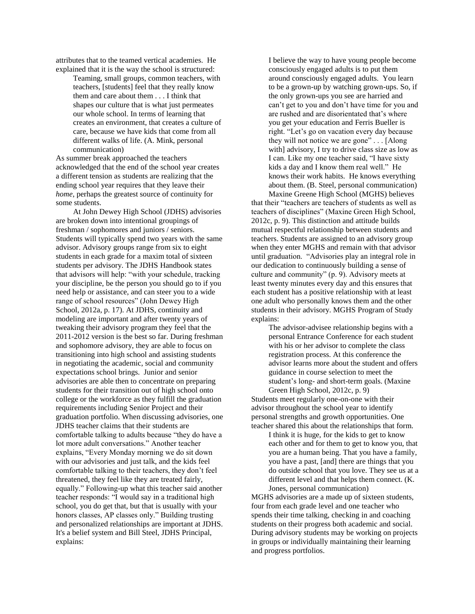attributes that to the teamed vertical academies. He explained that it is the way the school is structured:

> Teaming, small groups, common teachers, with teachers, [students] feel that they really know them and care about them . . . I think that shapes our culture that is what just permeates our whole school. In terms of learning that creates an environment, that creates a culture of care, because we have kids that come from all different walks of life. (A. Mink, personal communication)

As summer break approached the teachers acknowledged that the end of the school year creates a different tension as students are realizing that the ending school year requires that they leave their *home*, perhaps the greatest source of continuity for some students.

At John Dewey High School (JDHS) advisories are broken down into intentional groupings of freshman / sophomores and juniors / seniors. Students will typically spend two years with the same advisor. Advisory groups range from six to eight students in each grade for a maxim total of sixteen students per advisory. The JDHS Handbook states that advisors will help: "with your schedule, tracking your discipline, be the person you should go to if you need help or assistance, and can steer you to a wide range of school resources" (John Dewey High School, 2012a, p. 17). At JDHS, continuity and modeling are important and after twenty years of tweaking their advisory program they feel that the 2011-2012 version is the best so far. During freshman and sophomore advisory, they are able to focus on transitioning into high school and assisting students in negotiating the academic, social and community expectations school brings. Junior and senior advisories are able then to concentrate on preparing students for their transition out of high school onto college or the workforce as they fulfill the graduation requirements including Senior Project and their graduation portfolio. When discussing advisories, one JDHS teacher claims that their students are comfortable talking to adults because "they do have a lot more adult conversations." Another teacher explains, "Every Monday morning we do sit down with our advisories and just talk, and the kids feel comfortable talking to their teachers, they don't feel threatened, they feel like they are treated fairly, equally." Following-up what this teacher said another teacher responds: "I would say in a traditional high school, you do get that, but that is usually with your honors classes, AP classes only." Building trusting and personalized relationships are important at JDHS. It's a belief system and Bill Steel, JDHS Principal, explains:

I believe the way to have young people become consciously engaged adults is to put them around consciously engaged adults. You learn to be a grown-up by watching grown-ups. So, if the only grown-ups you see are harried and can't get to you and don't have time for you and are rushed and are disorientated that's where you get your education and Ferris Bueller is right. "Let's go on vacation every day because they will not notice we are gone" . . . [Along with] advisory, I try to drive class size as low as I can. Like my one teacher said, "I have sixty kids a day and I know them real well." He knows their work habits. He knows everything about them. (B. Steel, personal communication)

Maxine Greene High School (MGHS) believes that their "teachers are teachers of students as well as teachers of disciplines" (Maxine Green High School, 2012c, p. 9). This distinction and attitude builds mutual respectful relationship between students and teachers. Students are assigned to an advisory group when they enter MGHS and remain with that advisor until graduation. "Advisories play an integral role in our dedication to continuously building a sense of culture and community" (p. 9). Advisory meets at least twenty minutes every day and this ensures that each student has a positive relationship with at least one adult who personally knows them and the other students in their advisory. MGHS Program of Study explains:

The advisor-advisee relationship begins with a personal Entrance Conference for each student with his or her advisor to complete the class registration process. At this conference the advisor learns more about the student and offers guidance in course selection to meet the student's long- and short-term goals. (Maxine Green High School, 2012c, p. 9)

Students meet regularly one-on-one with their advisor throughout the school year to identify personal strengths and growth opportunities. One teacher shared this about the relationships that form.

I think it is huge, for the kids to get to know each other and for them to get to know you, that you are a human being. That you have a family, you have a past, [and] there are things that you do outside school that you love. They see us at a different level and that helps them connect. (K. Jones, personal communication)

MGHS advisories are a made up of sixteen students, four from each grade level and one teacher who spends their time talking, checking in and coaching students on their progress both academic and social. During advisory students may be working on projects in groups or individually maintaining their learning and progress portfolios.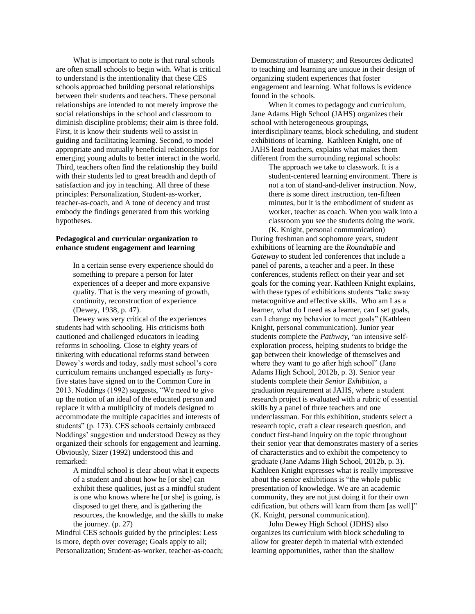What is important to note is that rural schools are often small schools to begin with. What is critical to understand is the intentionality that these CES schools approached building personal relationships between their students and teachers. These personal relationships are intended to not merely improve the social relationships in the school and classroom to diminish discipline problems; their aim is three fold. First, it is know their students well to assist in guiding and facilitating learning. Second, to model appropriate and mutually beneficial relationships for emerging young adults to better interact in the world. Third, teachers often find the relationship they build with their students led to great breadth and depth of satisfaction and joy in teaching. All three of these principles: Personalization, Student-as-worker, teacher-as-coach, and A tone of decency and trust embody the findings generated from this working hypotheses.

# **Pedagogical and curricular organization to enhance student engagement and learning**

In a certain sense every experience should do something to prepare a person for later experiences of a deeper and more expansive quality. That is the very meaning of growth, continuity, reconstruction of experience (Dewey, 1938, p. 47).

Dewey was very critical of the experiences students had with schooling. His criticisms both cautioned and challenged educators in leading reforms in schooling. Close to eighty years of tinkering with educational reforms stand between Dewey's words and today, sadly most school's core curriculum remains unchanged especially as fortyfive states have signed on to the Common Core in 2013. Noddings (1992) suggests, "We need to give up the notion of an ideal of the educated person and replace it with a multiplicity of models designed to accommodate the multiple capacities and interests of students" (p. 173). CES schools certainly embraced Noddings' suggestion and understood Dewey as they organized their schools for engagement and learning. Obviously, Sizer (1992) understood this and remarked:

> A mindful school is clear about what it expects of a student and about how he [or she] can exhibit these qualities, just as a mindful student is one who knows where he [or she] is going, is disposed to get there, and is gathering the resources, the knowledge, and the skills to make the journey. (p. 27)

Mindful CES schools guided by the principles: Less is more, depth over coverage; Goals apply to all; Personalization; Student-as-worker, teacher-as-coach; Demonstration of mastery; and Resources dedicated to teaching and learning are unique in their design of organizing student experiences that foster engagement and learning. What follows is evidence found in the schools.

When it comes to pedagogy and curriculum, Jane Adams High School (JAHS) organizes their school with heterogeneous groupings, interdisciplinary teams, block scheduling, and student exhibitions of learning. Kathleen Knight, one of JAHS lead teachers, explains what makes them different from the surrounding regional schools:

> The approach we take to classwork. It is a student-centered learning environment. There is not a ton of stand-and-deliver instruction. Now, there is some direct instruction, ten-fifteen minutes, but it is the embodiment of student as worker, teacher as coach. When you walk into a classroom you see the students doing the work. (K. Knight, personal communication)

During freshman and sophomore years, student exhibitions of learning are the *Roundtable* and *Gateway* to student led conferences that include a panel of parents, a teacher and a peer. In these conferences, students reflect on their year and set goals for the coming year. Kathleen Knight explains, with these types of exhibitions students "take away metacognitive and effective skills. Who am I as a learner, what do I need as a learner, can I set goals, can I change my behavior to meet goals" (Kathleen Knight, personal communication). Junior year students complete the *Pathway*, "an intensive selfexploration process, helping students to bridge the gap between their knowledge of themselves and where they want to go after high school" (Jane Adams High School, 2012b, p. 3). Senior year students complete their *Senior Exhibition*, a graduation requirement at JAHS, where a student research project is evaluated with a rubric of essential skills by a panel of three teachers and one underclassman. For this exhibition, students select a research topic, craft a clear research question, and conduct first-hand inquiry on the topic throughout their senior year that demonstrates mastery of a series of characteristics and to exhibit the competency to graduate (Jane Adams High School, 2012b, p. 3). Kathleen Knight expresses what is really impressive about the senior exhibitions is "the whole public presentation of knowledge. We are an academic community, they are not just doing it for their own edification, but others will learn from them [as well]" (K. Knight, personal communication).

John Dewey High School (JDHS) also organizes its curriculum with block scheduling to allow for greater depth in material with extended learning opportunities, rather than the shallow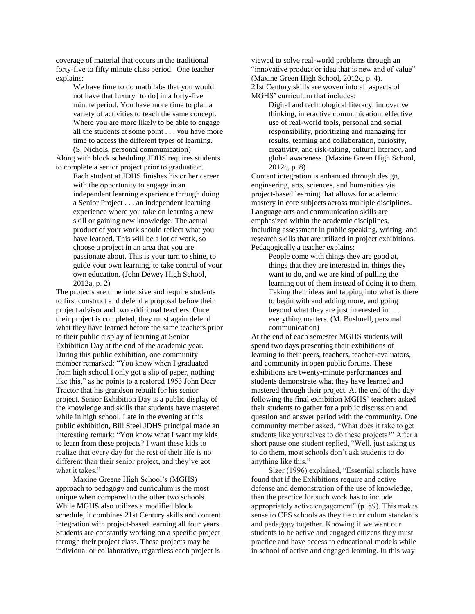coverage of material that occurs in the traditional forty-five to fifty minute class period. One teacher explains:

> We have time to do math labs that you would not have that luxury [to do] in a forty-five minute period. You have more time to plan a variety of activities to teach the same concept. Where you are more likely to be able to engage all the students at some point . . . you have more time to access the different types of learning. (S. Nichols, personal communication)

Along with block scheduling JDHS requires students to complete a senior project prior to graduation.

> Each student at JDHS finishes his or her career with the opportunity to engage in an independent learning experience through doing a Senior Project . . . an independent learning experience where you take on learning a new skill or gaining new knowledge. The actual product of your work should reflect what you have learned. This will be a lot of work, so choose a project in an area that you are passionate about. This is your turn to shine, to guide your own learning, to take control of your own education. (John Dewey High School, 2012a, p. 2)

The projects are time intensive and require students to first construct and defend a proposal before their project advisor and two additional teachers. Once their project is completed, they must again defend what they have learned before the same teachers prior to their public display of learning at Senior Exhibition Day at the end of the academic year. During this public exhibition, one community member remarked: "You know when I graduated from high school I only got a slip of paper, nothing like this," as he points to a restored 1953 John Deer Tractor that his grandson rebuilt for his senior project. Senior Exhibition Day is a public display of the knowledge and skills that students have mastered while in high school. Late in the evening at this public exhibition, Bill Steel JDHS principal made an interesting remark: "You know what I want my kids to learn from these projects? I want these kids to realize that every day for the rest of their life is no different than their senior project, and they've got what it takes."

Maxine Greene High School's (MGHS) approach to pedagogy and curriculum is the most unique when compared to the other two schools. While MGHS also utilizes a modified block schedule, it combines 21st Century skills and content integration with project-based learning all four years. Students are constantly working on a specific project through their project class. These projects may be individual or collaborative, regardless each project is

viewed to solve real-world problems through an "innovative product or idea that is new and of value" (Maxine Green High School, 2012c, p. 4). 21st Century skills are woven into all aspects of MGHS' curriculum that includes:

Digital and technological literacy, innovative thinking, interactive communication, effective use of real-world tools, personal and social responsibility, prioritizing and managing for results, teaming and collaboration, curiosity, creativity, and risk-taking, cultural literacy, and global awareness. (Maxine Green High School, 2012c, p. 8)

Content integration is enhanced through design, engineering, arts, sciences, and humanities via project-based learning that allows for academic mastery in core subjects across multiple disciplines. Language arts and communication skills are emphasized within the academic disciplines, including assessment in public speaking, writing, and research skills that are utilized in project exhibitions. Pedagogically a teacher explains:

People come with things they are good at, things that they are interested in, things they want to do, and we are kind of pulling the learning out of them instead of doing it to them. Taking their ideas and tapping into what is there to begin with and adding more, and going beyond what they are just interested in . . . everything matters. (M. Bushnell, personal communication)

At the end of each semester MGHS students will spend two days presenting their exhibitions of learning to their peers, teachers, teacher-evaluators, and community in open public forums. These exhibitions are twenty-minute performances and students demonstrate what they have learned and mastered through their project. At the end of the day following the final exhibition MGHS' teachers asked their students to gather for a public discussion and question and answer period with the community. One community member asked, "What does it take to get students like yourselves to do these projects?" After a short pause one student replied, "Well, just asking us to do them, most schools don't ask students to do anything like this."

Sizer (1996) explained, "Essential schools have found that if the Exhibitions require and active defense and demonstration of the use of knowledge, then the practice for such work has to include appropriately active engagement" (p. 89). This makes sense to CES schools as they tie curriculum standards and pedagogy together. Knowing if we want our students to be active and engaged citizens they must practice and have access to educational models while in school of active and engaged learning. In this way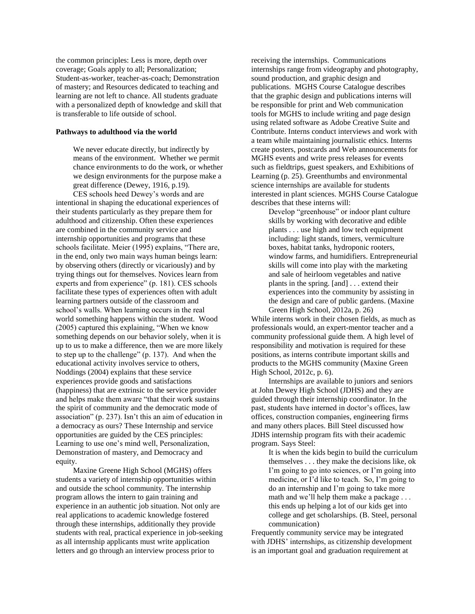the common principles: Less is more, depth over coverage; Goals apply to all; Personalization; Student-as-worker, teacher-as-coach; Demonstration of mastery; and Resources dedicated to teaching and learning are not left to chance. All students graduate with a personalized depth of knowledge and skill that is transferable to life outside of school.

### **Pathways to adulthood via the world**

We never educate directly, but indirectly by means of the environment. Whether we permit chance environments to do the work, or whether we design environments for the purpose make a great difference (Dewey, 1916, p.19).

CES schools heed Dewey's words and are intentional in shaping the educational experiences of their students particularly as they prepare them for adulthood and citizenship. Often these experiences are combined in the community service and internship opportunities and programs that these schools facilitate. Meier (1995) explains, "There are, in the end, only two main ways human beings learn: by observing others (directly or vicariously) and by trying things out for themselves. Novices learn from experts and from experience" (p. 181). CES schools facilitate these types of experiences often with adult learning partners outside of the classroom and school's walls. When learning occurs in the real world something happens within the student. Wood (2005) captured this explaining, "When we know something depends on our behavior solely, when it is up to us to make a difference, then we are more likely to step up to the challenge" (p. 137). And when the educational activity involves service to others, Noddings (2004) explains that these service experiences provide goods and satisfactions (happiness) that are extrinsic to the service provider and helps make them aware "that their work sustains the spirit of community and the democratic mode of association" (p. 237). Isn't this an aim of education in a democracy as ours? These Internship and service opportunities are guided by the CES principles: Learning to use one's mind well, Personalization, Demonstration of mastery, and Democracy and equity.

Maxine Greene High School (MGHS) offers students a variety of internship opportunities within and outside the school community. The internship program allows the intern to gain training and experience in an authentic job situation. Not only are real applications to academic knowledge fostered through these internships, additionally they provide students with real, practical experience in job-seeking as all internship applicants must write application letters and go through an interview process prior to

receiving the internships. Communications internships range from videography and photography, sound production, and graphic design and publications. MGHS Course Catalogue describes that the graphic design and publications interns will be responsible for print and Web communication tools for MGHS to include writing and page design using related software as Adobe Creative Suite and Contribute. Interns conduct interviews and work with a team while maintaining journalistic ethics. Interns create posters, postcards and Web announcements for MGHS events and write press releases for events such as fieldtrips, guest speakers, and Exhibitions of Learning (p. 25). Greenthumbs and environmental science internships are available for students interested in plant sciences. MGHS Course Catalogue describes that these interns will:

Develop "greenhouse" or indoor plant culture skills by working with decorative and edible plants . . . use high and low tech equipment including: light stands, timers, vermiculture boxes, habitat tanks, hydroponic rooters, window farms, and humidifiers. Entrepreneurial skills will come into play with the marketing and sale of heirloom vegetables and native plants in the spring. [and] . . . extend their experiences into the community by assisting in the design and care of public gardens. (Maxine Green High School, 2012a, p. 26)

While interns work in their chosen fields, as much as professionals would, an expert-mentor teacher and a community professional guide them. A high level of responsibility and motivation is required for these positions, as interns contribute important skills and products to the MGHS community (Maxine Green High School, 2012c, p. 6).

Internships are available to juniors and seniors at John Dewey High School (JDHS) and they are guided through their internship coordinator. In the past, students have interned in doctor's offices, law offices, construction companies, engineering firms and many others places. Bill Steel discussed how JDHS internship program fits with their academic program. Says Steel:

> It is when the kids begin to build the curriculum themselves . . . they make the decisions like, ok I'm going to go into sciences, or I'm going into medicine, or I'd like to teach. So, I'm going to do an internship and I'm going to take more math and we'll help them make a package . . . this ends up helping a lot of our kids get into college and get scholarships. (B. Steel, personal communication)

Frequently community service may be integrated with JDHS' internships, as citizenship development is an important goal and graduation requirement at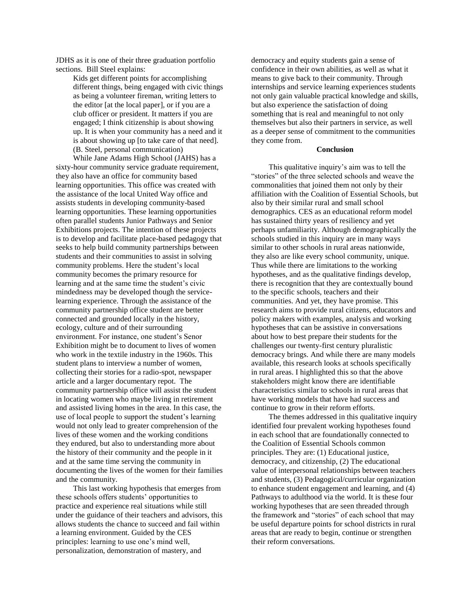JDHS as it is one of their three graduation portfolio sections. Bill Steel explains:

> Kids get different points for accomplishing different things, being engaged with civic things as being a volunteer fireman, writing letters to the editor [at the local paper], or if you are a club officer or president. It matters if you are engaged; I think citizenship is about showing up. It is when your community has a need and it is about showing up [to take care of that need]. (B. Steel, personal communication)

While Jane Adams High School (JAHS) has a sixty-hour community service graduate requirement, they also have an office for community based learning opportunities. This office was created with the assistance of the local United Way office and assists students in developing community-based learning opportunities. These learning opportunities often parallel students Junior Pathways and Senior Exhibitions projects. The intention of these projects is to develop and facilitate place-based pedagogy that seeks to help build community partnerships between students and their communities to assist in solving community problems. Here the student's local community becomes the primary resource for learning and at the same time the student's civic mindedness may be developed though the servicelearning experience. Through the assistance of the community partnership office student are better connected and grounded locally in the history, ecology, culture and of their surrounding environment. For instance, one student's Senor Exhibition might be to document to lives of women who work in the textile industry in the 1960s. This student plans to interview a number of women, collecting their stories for a radio-spot, newspaper article and a larger documentary repot. The community partnership office will assist the student in locating women who maybe living in retirement and assisted living homes in the area. In this case, the use of local people to support the student's learning would not only lead to greater comprehension of the lives of these women and the working conditions they endured, but also to understanding more about the history of their community and the people in it and at the same time serving the community in documenting the lives of the women for their families and the community.

This last working hypothesis that emerges from these schools offers students' opportunities to practice and experience real situations while still under the guidance of their teachers and advisors, this allows students the chance to succeed and fail within a learning environment. Guided by the CES principles: learning to use one's mind well, personalization, demonstration of mastery, and

democracy and equity students gain a sense of confidence in their own abilities, as well as what it means to give back to their community. Through internships and service learning experiences students not only gain valuable practical knowledge and skills, but also experience the satisfaction of doing something that is real and meaningful to not only themselves but also their partners in service, as well as a deeper sense of commitment to the communities they come from.

# **Conclusion**

This qualitative inquiry's aim was to tell the "stories" of the three selected schools and weave the commonalities that joined them not only by their affiliation with the Coalition of Essential Schools, but also by their similar rural and small school demographics. CES as an educational reform model has sustained thirty years of resiliency and yet perhaps unfamiliarity. Although demographically the schools studied in this inquiry are in many ways similar to other schools in rural areas nationwide, they also are like every school community, unique. Thus while there are limitations to the working hypotheses, and as the qualitative findings develop. there is recognition that they are contextually bound to the specific schools, teachers and their communities. And yet, they have promise. This research aims to provide rural citizens, educators and policy makers with examples, analysis and working hypotheses that can be assistive in conversations about how to best prepare their students for the challenges our twenty-first century pluralistic democracy brings. And while there are many models available, this research looks at schools specifically in rural areas. I highlighted this so that the above stakeholders might know there are identifiable characteristics similar to schools in rural areas that have working models that have had success and continue to grow in their reform efforts.

The themes addressed in this qualitative inquiry identified four prevalent working hypotheses found in each school that are foundationally connected to the Coalition of Essential Schools common principles. They are: (1) Educational justice, democracy, and citizenship, (2) The educational value of interpersonal relationships between teachers and students, (3) Pedagogical/curricular organization to enhance student engagement and learning, and (4) Pathways to adulthood via the world. It is these four working hypotheses that are seen threaded through the framework and "stories" of each school that may be useful departure points for school districts in rural areas that are ready to begin, continue or strengthen their reform conversations.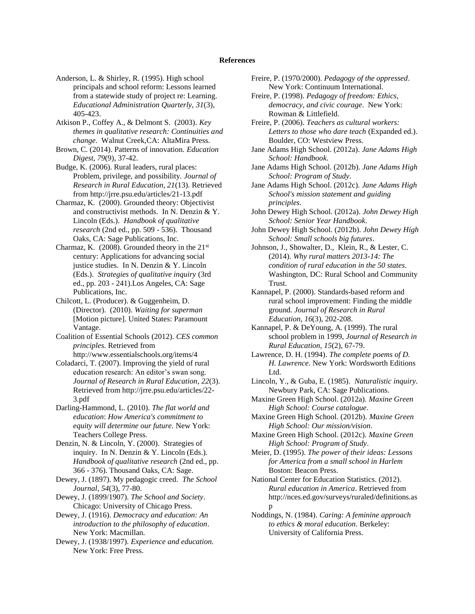#### **References**

- Anderson, L. & Shirley, R. (1995). High school principals and school reform: Lessons learned from a statewide study of project re: Learning. *Educational Administration Quarterly, 31*(3), 405-423.
- Atkison P., Coffey A., & Delmont S. (2003). *Key themes in qualitative research: Continuities and change*. Walnut Creek,CA: AltaMira Press.
- Brown, C. (2014). Patterns of innovation. *Education Digest*, *79*(9), 37-42.
- Budge, K. (2006). Rural leaders, rural places: Problem, privilege, and possibility. *Journal of Research in Rural Education, 21*(13). Retrieved from<http://jrre.psu.edu/articles/21-13.pdf>
- Charmaz, K. (2000). Grounded theory: Objectivist and constructivist methods. In N. Denzin & Y. Lincoln (Eds.). *Handbook of qualitative research* (2nd ed., pp. 509 - 536). Thousand Oaks, CA: Sage Publications, Inc.
- Charmaz, K. (2008). Grounded theory in the  $21<sup>st</sup>$ century: Applications for advancing social justice studies. In N. Denzin & Y. Lincoln (Eds.). *Strategies of qualitative inquiry* (3rd ed., pp. 203 - 241).Los Angeles, CA: Sage Publications, Inc.
- Chilcott, L. (Producer). & Guggenheim, D. (Director). (2010). *Waiting for superman* [Motion picture]. United States: Paramount Vantage.
- Coalition of Essential Schools (2012). *CES common principles*. Retrieved from <http://www.essentialschools.org/items/4>
- Coladarci, T. (2007). Improving the yield of rural education research: An editor's swan song. *Journal of Research in Rural Education*, *22*(3). Retrieved fro[m http://jrre.psu.edu/articles/22-](http://jrre.psu.edu/articles/22-3.pdf) [3.pdf](http://jrre.psu.edu/articles/22-3.pdf)
- Darling-Hammond, L. (2010). *The flat world and education*: *How America's commitment to equity will determine our future.* New York: Teachers College Press.
- Denzin, N. & Lincoln, Y. (2000). Strategies of inquiry. In N. Denzin & Y. Lincoln (Eds.). *Handbook of qualitative research* (2nd ed., pp. 366 - 376). Thousand Oaks, CA: Sage.
- Dewey, J. (1897). My pedagogic creed*. The School Journal*, *54*(3), 77-80.
- Dewey, J. (1899/1907). *The School and Society*. Chicago: University of Chicago Press.
- Dewey, J. (1916). *Democracy and education: An introduction to the philosophy of education*. New York: Macmillan.
- Dewey, J. (1938/1997). *Experience and education.*  New York: Free Press.
- Freire, P. (1970/2000). *Pedagogy of the oppressed*. New York: Continuum International.
- Freire, P. (1998). *Pedagogy of freedom: Ethics, democracy, and civic courage*. New York: Rowman & Littlefield.
- Freire, P. (2006). *Teachers as cultural workers: Letters to those who dare teach* (Expanded ed.). Boulder, CO: Westview Press.
- Jane Adams High School. (2012a). *Jane Adams High School: Handbook*.
- Jane Adams High School. (2012b). *Jane Adams High School: Program of Study*.
- Jane Adams High School. (2012c). *Jane Adams High School's mission statement and guiding principles*.
- John Dewey High School. (2012a). *John Dewey High School: Senior Year Handbook*.
- John Dewey High School. (2012b). *John Dewey High School: Small schools big futures*.
- Johnson, J., Showalter, D., Klein, R., & Lester, C. (2014). *Why rural matters 2013-14: The condition of rural education in the 50 states.*  Washington, DC: Rural School and Community Trust.
- Kannapel, P. (2000). Standards-based reform and rural school improvement: Finding the middle ground*. Journal of Research in Rural Education, 16*(3), 202-208.
- Kannapel, P. & DeYoung, A. (1999). The rural school problem in 1999, *Journal of Research in Rural Education*, *15*(2), 67-79.
- Lawrence, D. H. (1994). *The complete poems of D. H. Lawrence*. New York: Wordsworth Editions Ltd.
- Lincoln, Y., & Guba, E. (1985). *Naturalistic inquiry*. Newbury Park, CA: Sage Publications.
- Maxine Green High School. (2012a). *Maxine Green High School: Course catalogue*.
- Maxine Green High School. (2012b). *Maxine Green High School: Our mission/vision*.
- Maxine Green High School. (2012c). *Maxine Green High School: Program of Study*.
- Meier, D. (1995). *The power of their ideas: Lessons for America from a small school in Harlem* Boston: Beacon Press.
- National Center for Education Statistics. (2012). *Rural education in America*. Retrieved from [http://nces.ed.gov/surveys/ruraled/definitions.as](http://nces.ed.gov/surveys/ruraled/definitions.asp) [p](http://nces.ed.gov/surveys/ruraled/definitions.asp)
- Noddings, N. (1984). *Caring: A feminine approach to ethics & moral education*. Berkeley: University of California Press.